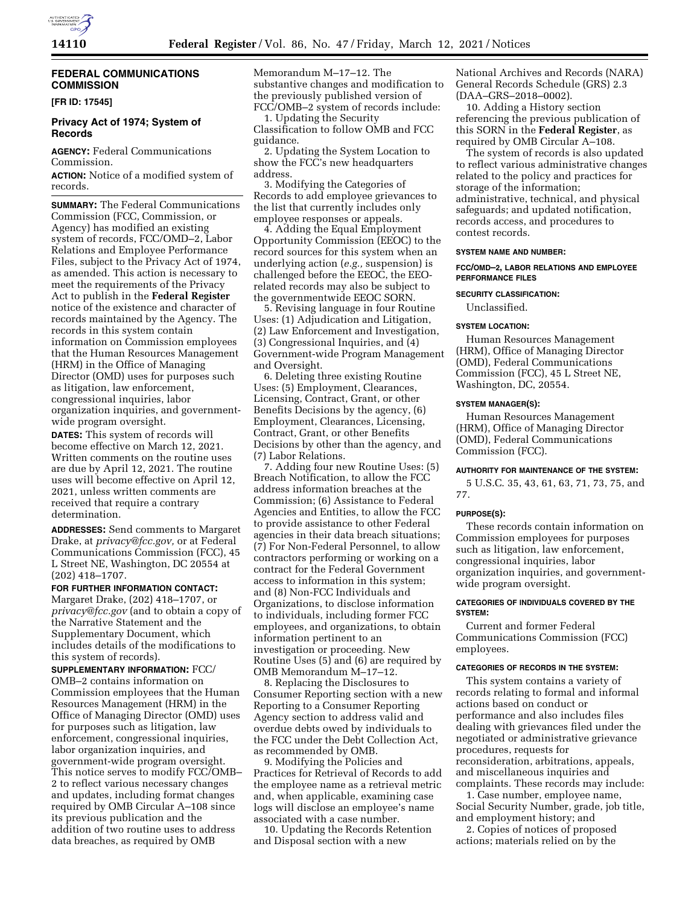

# **FEDERAL COMMUNICATIONS COMMISSION**

**[FR ID: 17545]** 

# **Privacy Act of 1974; System of Records**

**AGENCY:** Federal Communications Commission.

**ACTION:** Notice of a modified system of records.

**SUMMARY:** The Federal Communications Commission (FCC, Commission, or Agency) has modified an existing system of records, FCC/OMD–2, Labor Relations and Employee Performance Files, subject to the Privacy Act of 1974, as amended. This action is necessary to meet the requirements of the Privacy Act to publish in the **Federal Register**  notice of the existence and character of records maintained by the Agency. The records in this system contain information on Commission employees that the Human Resources Management (HRM) in the Office of Managing Director (OMD) uses for purposes such as litigation, law enforcement, congressional inquiries, labor organization inquiries, and governmentwide program oversight.

**DATES:** This system of records will become effective on March 12, 2021. Written comments on the routine uses are due by April 12, 2021. The routine uses will become effective on April 12, 2021, unless written comments are received that require a contrary determination.

**ADDRESSES:** Send comments to Margaret Drake, at *[privacy@fcc.gov,](mailto:privacy@fcc.gov)* or at Federal Communications Commission (FCC), 45 L Street NE, Washington, DC 20554 at (202) 418–1707.

**FOR FURTHER INFORMATION CONTACT:**  Margaret Drake, (202) 418–1707, or *[privacy@fcc.gov](mailto:privacy@fcc.gov)* (and to obtain a copy of the Narrative Statement and the Supplementary Document, which includes details of the modifications to this system of records).

**SUPPLEMENTARY INFORMATION:** FCC/ OMB–2 contains information on Commission employees that the Human Resources Management (HRM) in the Office of Managing Director (OMD) uses for purposes such as litigation, law enforcement, congressional inquiries, labor organization inquiries, and government-wide program oversight. This notice serves to modify FCC/OMB– 2 to reflect various necessary changes and updates, including format changes required by OMB Circular A–108 since its previous publication and the addition of two routine uses to address data breaches, as required by OMB

Memorandum M–17–12. The substantive changes and modification to the previously published version of FCC/OMB–2 system of records include:

1. Updating the Security Classification to follow OMB and FCC guidance.

2. Updating the System Location to show the FCC's new headquarters address.

3. Modifying the Categories of Records to add employee grievances to the list that currently includes only employee responses or appeals.

4. Adding the Equal Employment Opportunity Commission (EEOC) to the record sources for this system when an underlying action (*e.g.,* suspension) is challenged before the EEOC, the EEOrelated records may also be subject to the governmentwide EEOC SORN.

5. Revising language in four Routine Uses: (1) Adjudication and Litigation, (2) Law Enforcement and Investigation, (3) Congressional Inquiries, and (4) Government-wide Program Management and Oversight.

6. Deleting three existing Routine Uses: (5) Employment, Clearances, Licensing, Contract, Grant, or other Benefits Decisions by the agency, (6) Employment, Clearances, Licensing, Contract, Grant, or other Benefits Decisions by other than the agency, and (7) Labor Relations.

7. Adding four new Routine Uses: (5) Breach Notification, to allow the FCC address information breaches at the Commission; (6) Assistance to Federal Agencies and Entities, to allow the FCC to provide assistance to other Federal agencies in their data breach situations; (7) For Non-Federal Personnel, to allow contractors performing or working on a contract for the Federal Government access to information in this system; and (8) Non-FCC Individuals and Organizations, to disclose information to individuals, including former FCC employees, and organizations, to obtain information pertinent to an investigation or proceeding. New Routine Uses (5) and (6) are required by OMB Memorandum M–17–12.

8. Replacing the Disclosures to Consumer Reporting section with a new Reporting to a Consumer Reporting Agency section to address valid and overdue debts owed by individuals to the FCC under the Debt Collection Act, as recommended by OMB.

9. Modifying the Policies and Practices for Retrieval of Records to add the employee name as a retrieval metric and, when applicable, examining case logs will disclose an employee's name associated with a case number.

10. Updating the Records Retention and Disposal section with a new

National Archives and Records (NARA) General Records Schedule (GRS) 2.3 (DAA–GRS–2018–0002).

10. Adding a History section referencing the previous publication of this SORN in the **Federal Register**, as required by OMB Circular A–108.

The system of records is also updated to reflect various administrative changes related to the policy and practices for storage of the information; administrative, technical, and physical safeguards; and updated notification, records access, and procedures to contest records.

### **SYSTEM NAME AND NUMBER:**

**FCC/OMD–2, LABOR RELATIONS AND EMPLOYEE PERFORMANCE FILES**

### **SECURITY CLASSIFICATION:**

Unclassified.

### **SYSTEM LOCATION:**

Human Resources Management (HRM), Office of Managing Director (OMD), Federal Communications Commission (FCC), 45 L Street NE, Washington, DC, 20554.

### **SYSTEM MANAGER(S):**

Human Resources Management (HRM), Office of Managing Director (OMD), Federal Communications Commission (FCC).

### **AUTHORITY FOR MAINTENANCE OF THE SYSTEM:**

5 U.S.C. 35, 43, 61, 63, 71, 73, 75, and 77.

### **PURPOSE(S):**

These records contain information on Commission employees for purposes such as litigation, law enforcement, congressional inquiries, labor organization inquiries, and governmentwide program oversight.

## **CATEGORIES OF INDIVIDUALS COVERED BY THE SYSTEM:**

Current and former Federal Communications Commission (FCC) employees.

#### **CATEGORIES OF RECORDS IN THE SYSTEM:**

This system contains a variety of records relating to formal and informal actions based on conduct or performance and also includes files dealing with grievances filed under the negotiated or administrative grievance procedures, requests for reconsideration, arbitrations, appeals, and miscellaneous inquiries and complaints. These records may include:

1. Case number, employee name, Social Security Number, grade, job title, and employment history; and

2. Copies of notices of proposed actions; materials relied on by the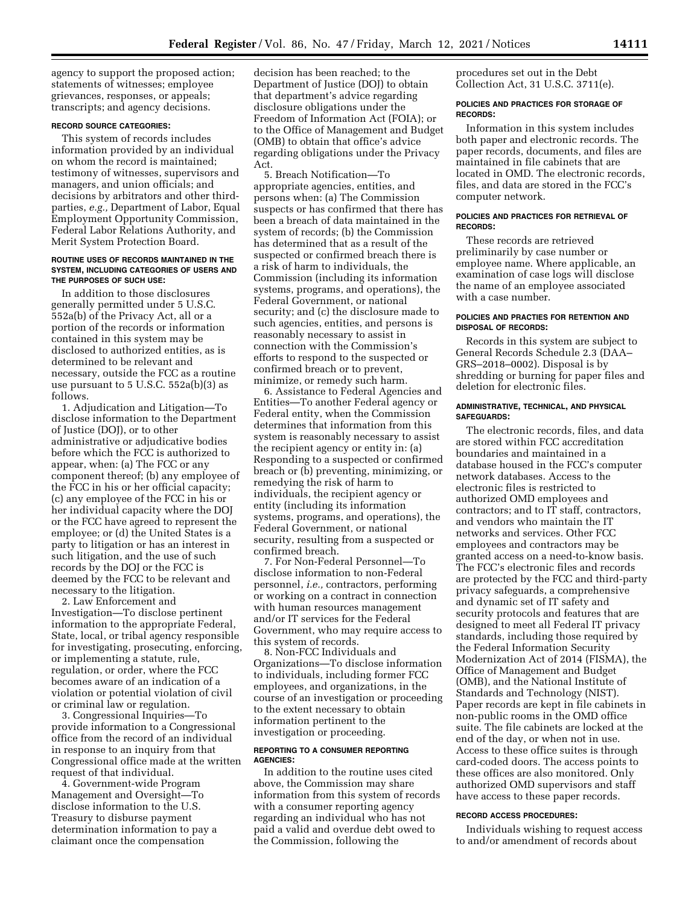agency to support the proposed action; statements of witnesses; employee grievances, responses, or appeals; transcripts; and agency decisions.

## **RECORD SOURCE CATEGORIES:**

This system of records includes information provided by an individual on whom the record is maintained; testimony of witnesses, supervisors and managers, and union officials; and decisions by arbitrators and other thirdparties, *e.g.,* Department of Labor, Equal Employment Opportunity Commission, Federal Labor Relations Authority, and Merit System Protection Board.

## **ROUTINE USES OF RECORDS MAINTAINED IN THE SYSTEM, INCLUDING CATEGORIES OF USERS AND THE PURPOSES OF SUCH USE:**

In addition to those disclosures generally permitted under 5 U.S.C. 552a(b) of the Privacy Act, all or a portion of the records or information contained in this system may be disclosed to authorized entities, as is determined to be relevant and necessary, outside the FCC as a routine use pursuant to 5 U.S.C. 552a(b)(3) as follows.

1. Adjudication and Litigation—To disclose information to the Department of Justice (DOJ), or to other administrative or adjudicative bodies before which the FCC is authorized to appear, when: (a) The FCC or any component thereof; (b) any employee of the FCC in his or her official capacity; (c) any employee of the FCC in his or her individual capacity where the DOJ or the FCC have agreed to represent the employee; or (d) the United States is a party to litigation or has an interest in such litigation, and the use of such records by the DOJ or the FCC is deemed by the FCC to be relevant and necessary to the litigation.

2. Law Enforcement and Investigation—To disclose pertinent information to the appropriate Federal, State, local, or tribal agency responsible for investigating, prosecuting, enforcing, or implementing a statute, rule, regulation, or order, where the FCC becomes aware of an indication of a violation or potential violation of civil or criminal law or regulation.

3. Congressional Inquiries—To provide information to a Congressional office from the record of an individual in response to an inquiry from that Congressional office made at the written request of that individual.

4. Government-wide Program Management and Oversight—To disclose information to the U.S. Treasury to disburse payment determination information to pay a claimant once the compensation

decision has been reached; to the Department of Justice (DOJ) to obtain that department's advice regarding disclosure obligations under the Freedom of Information Act (FOIA); or to the Office of Management and Budget (OMB) to obtain that office's advice regarding obligations under the Privacy Act.

5. Breach Notification—To appropriate agencies, entities, and persons when: (a) The Commission suspects or has confirmed that there has been a breach of data maintained in the system of records; (b) the Commission has determined that as a result of the suspected or confirmed breach there is a risk of harm to individuals, the Commission (including its information systems, programs, and operations), the Federal Government, or national security; and (c) the disclosure made to such agencies, entities, and persons is reasonably necessary to assist in connection with the Commission's efforts to respond to the suspected or confirmed breach or to prevent, minimize, or remedy such harm.

6. Assistance to Federal Agencies and Entities—To another Federal agency or Federal entity, when the Commission determines that information from this system is reasonably necessary to assist the recipient agency or entity in: (a) Responding to a suspected or confirmed breach or (b) preventing, minimizing, or remedying the risk of harm to individuals, the recipient agency or entity (including its information systems, programs, and operations), the Federal Government, or national security, resulting from a suspected or confirmed breach.

7. For Non-Federal Personnel—To disclose information to non-Federal personnel, *i.e.,* contractors, performing or working on a contract in connection with human resources management and/or IT services for the Federal Government, who may require access to this system of records.

8. Non-FCC Individuals and Organizations—To disclose information to individuals, including former FCC employees, and organizations, in the course of an investigation or proceeding to the extent necessary to obtain information pertinent to the investigation or proceeding.

#### **REPORTING TO A CONSUMER REPORTING AGENCIES:**

In addition to the routine uses cited above, the Commission may share information from this system of records with a consumer reporting agency regarding an individual who has not paid a valid and overdue debt owed to the Commission, following the

procedures set out in the Debt Collection Act, 31 U.S.C. 3711(e).

#### **POLICIES AND PRACTICES FOR STORAGE OF RECORDS:**

Information in this system includes both paper and electronic records. The paper records, documents, and files are maintained in file cabinets that are located in OMD. The electronic records, files, and data are stored in the FCC's computer network.

### **POLICIES AND PRACTICES FOR RETRIEVAL OF RECORDS:**

These records are retrieved preliminarily by case number or employee name. Where applicable, an examination of case logs will disclose the name of an employee associated with a case number.

### **POLICIES AND PRACTIES FOR RETENTION AND DISPOSAL OF RECORDS:**

Records in this system are subject to General Records Schedule 2.3 (DAA– GRS–2018–0002). Disposal is by shredding or burning for paper files and deletion for electronic files.

# **ADMINISTRATIVE, TECHNICAL, AND PHYSICAL SAFEGUARDS:**

The electronic records, files, and data are stored within FCC accreditation boundaries and maintained in a database housed in the FCC's computer network databases. Access to the electronic files is restricted to authorized OMD employees and contractors; and to IT staff, contractors, and vendors who maintain the IT networks and services. Other FCC employees and contractors may be granted access on a need-to-know basis. The FCC's electronic files and records are protected by the FCC and third-party privacy safeguards, a comprehensive and dynamic set of IT safety and security protocols and features that are designed to meet all Federal IT privacy standards, including those required by the Federal Information Security Modernization Act of 2014 (FISMA), the Office of Management and Budget (OMB), and the National Institute of Standards and Technology (NIST). Paper records are kept in file cabinets in non-public rooms in the OMD office suite. The file cabinets are locked at the end of the day, or when not in use. Access to these office suites is through card-coded doors. The access points to these offices are also monitored. Only authorized OMD supervisors and staff have access to these paper records.

## **RECORD ACCESS PROCEDURES:**

Individuals wishing to request access to and/or amendment of records about